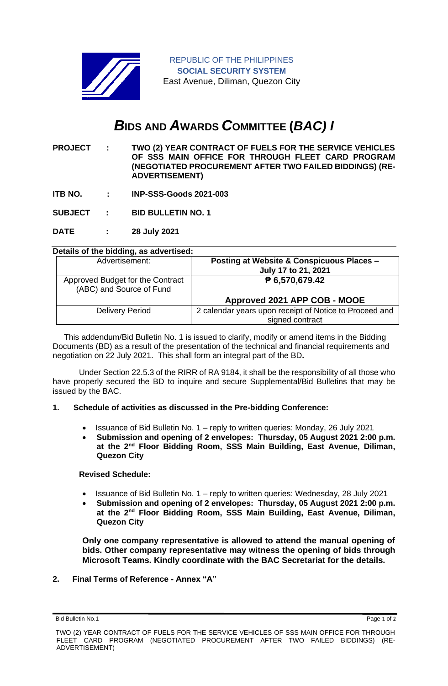

# *B***IDS AND** *A***WARDS** *C***OMMITTEE (***BAC) I*

**PROJECT : TWO (2) YEAR CONTRACT OF FUELS FOR THE SERVICE VEHICLES OF SSS MAIN OFFICE FOR THROUGH FLEET CARD PROGRAM (NEGOTIATED PROCUREMENT AFTER TWO FAILED BIDDINGS) (RE-ADVERTISEMENT)**

**ITB NO. : INP-SSS-Goods 2021-003**

**SUBJECT : BID BULLETIN NO. 1**

**DATE : 28 July 2021**

#### **Details of the bidding, as advertised:**

| Advertisement:                                               | Posting at Website & Conspicuous Places -<br>July 17 to 21, 2021 |
|--------------------------------------------------------------|------------------------------------------------------------------|
| Approved Budget for the Contract<br>(ABC) and Source of Fund | ₱ 6,570,679.42                                                   |
|                                                              | Approved 2021 APP COB - MOOE                                     |
| <b>Delivery Period</b>                                       | 2 calendar years upon receipt of Notice to Proceed and           |
|                                                              | signed contract                                                  |

 This addendum/Bid Bulletin No. 1 is issued to clarify, modify or amend items in the Bidding Documents (BD) as a result of the presentation of the technical and financial requirements and negotiation on 22 July 2021. This shall form an integral part of the BD**.**

Under Section 22.5.3 of the RIRR of RA 9184, it shall be the responsibility of all those who have properly secured the BD to inquire and secure Supplemental/Bid Bulletins that may be issued by the BAC.

## **1. Schedule of activities as discussed in the Pre-bidding Conference:**

- Issuance of Bid Bulletin No. 1 reply to written queries: Monday, 26 July 2021
- **Submission and opening of 2 envelopes: Thursday, 05 August 2021 2:00 p.m. at the 2nd Floor Bidding Room, SSS Main Building, East Avenue, Diliman, Quezon City**

#### **Revised Schedule:**

- Issuance of Bid Bulletin No. 1 reply to written queries: Wednesday, 28 July 2021
- **Submission and opening of 2 envelopes: Thursday, 05 August 2021 2:00 p.m. at the 2nd Floor Bidding Room, SSS Main Building, East Avenue, Diliman, Quezon City**

**Only one company representative is allowed to attend the manual opening of bids. Other company representative may witness the opening of bids through Microsoft Teams. Kindly coordinate with the BAC Secretariat for the details.**

## **2. Final Terms of Reference - Annex "A"**

Bid Bulletin No.1 Page 1 of 2

TWO (2) YEAR CONTRACT OF FUELS FOR THE SERVICE VEHICLES OF SSS MAIN OFFICE FOR THROUGH FLEET CARD PROGRAM (NEGOTIATED PROCUREMENT AFTER TWO FAILED BIDDINGS) (RE-ADVERTISEMENT)